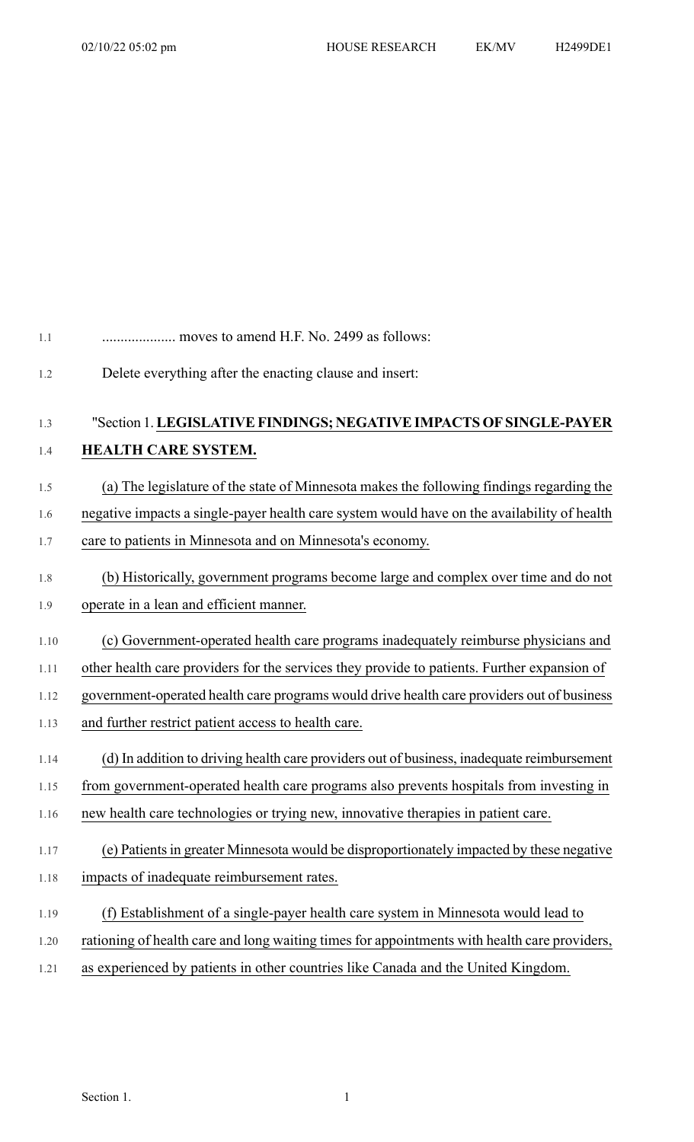## 1.1 .................... moves to amend H.F. No. 2499 as follows:

1.2 Delete everything after the enacting clause and insert:

## 1.3 "Section 1.**LEGISLATIVEFINDINGS; NEGATIVEIMPACTS OF SINGLE-PAYER**

## 1.4 **HEALTH CARE SYSTEM.**

- 1.5 (a) The legislature of the state of Minnesota makes the following findings regarding the
- 1.6 negative impacts a single-payer health care system would have on the availability of health 1.7 care to patients in Minnesota and on Minnesota's economy.
- 1.8 (b) Historically, government programs become large and complex over time and do not
- 1.9 operate in a lean and efficient manner.
- 1.10 (c) Government-operated health care programs inadequately reimburse physicians and

1.11 other health care providers for the services they provide to patients. Further expansion of

1.12 government-operated health care programs would drive health care providers out of business

- 1.13 and further restrict patient access to health care.
- 1.14 (d) In addition to driving health care providers out of business, inadequate reimbursement
- 1.15 from government-operated health care programs also prevents hospitals from investing in
- 1.16 new health care technologies or trying new, innovative therapies in patient care.
- 1.17 (e) Patientsin greater Minnesota would be disproportionately impacted by these negative 1.18 impacts of inadequate reimbursement rates.
- 1.19 (f) Establishment of a single-payer health care system in Minnesota would lead to
- 1.20 rationing of health care and long waiting times for appointments with health care providers,
- 1.21 as experienced by patients in other countries like Canada and the United Kingdom.